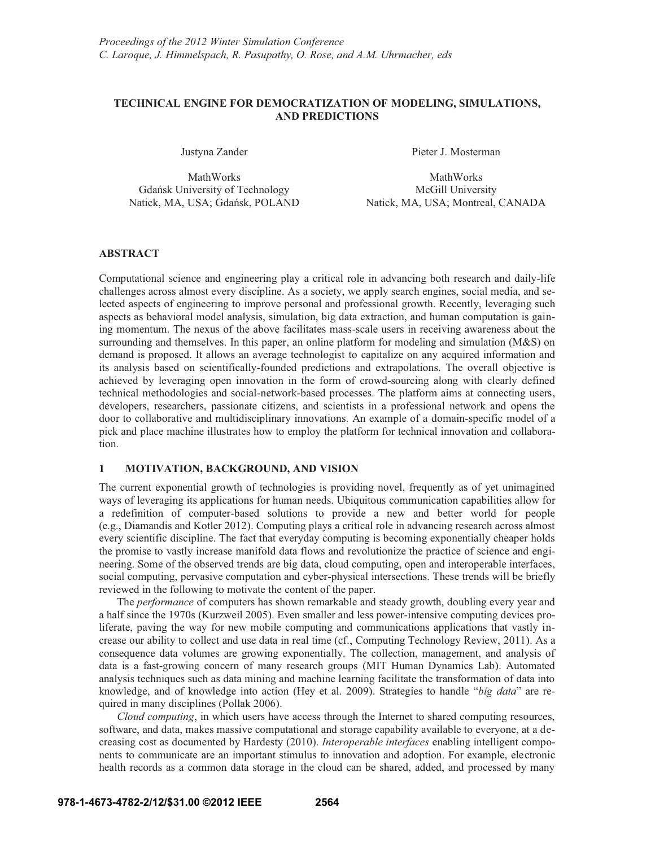#### **TECHNICAL ENGINE FOR DEMOCRATIZATION OF MODELING, SIMULATIONS, AND PREDICTIONS**

Gdańsk University of Technology McGill University

Justyna Zander Pieter J. Mosterman

MathWorks MathWorks Natick, MA, USA; Gdańsk, POLAND Natick, MA, USA; Montreal, CANADA

#### **ABSTRACT**

Computational science and engineering play a critical role in advancing both research and daily-life challenges across almost every discipline. As a society, we apply search engines, social media, and selected aspects of engineering to improve personal and professional growth. Recently, leveraging such aspects as behavioral model analysis, simulation, big data extraction, and human computation is gaining momentum. The nexus of the above facilitates mass-scale users in receiving awareness about the surrounding and themselves. In this paper, an online platform for modeling and simulation (M&S) on demand is proposed. It allows an average technologist to capitalize on any acquired information and its analysis based on scientifically-founded predictions and extrapolations. The overall objective is achieved by leveraging open innovation in the form of crowd-sourcing along with clearly defined technical methodologies and social-network-based processes. The platform aims at connecting users, developers, researchers, passionate citizens, and scientists in a professional network and opens the door to collaborative and multidisciplinary innovations. An example of a domain-specific model of a pick and place machine illustrates how to employ the platform for technical innovation and collaboration.

#### **1 MOTIVATION, BACKGROUND, AND VISION**

The current exponential growth of technologies is providing novel, frequently as of yet unimagined ways of leveraging its applications for human needs. Ubiquitous communication capabilities allow for a redefinition of computer-based solutions to provide a new and better world for people (e.g., Diamandis and Kotler 2012). Computing plays a critical role in advancing research across almost every scientific discipline. The fact that everyday computing is becoming exponentially cheaper holds the promise to vastly increase manifold data flows and revolutionize the practice of science and engineering. Some of the observed trends are big data, cloud computing, open and interoperable interfaces, social computing, pervasive computation and cyber-physical intersections. These trends will be briefly reviewed in the following to motivate the content of the paper.

The *performance* of computers has shown remarkable and steady growth, doubling every year and a half since the 1970s (Kurzweil 2005). Even smaller and less power-intensive computing devices proliferate, paving the way for new mobile computing and communications applications that vastly increase our ability to collect and use data in real time (cf., Computing Technology Review, 2011). As a consequence data volumes are growing exponentially. The collection, management, and analysis of data is a fast-growing concern of many research groups (MIT Human Dynamics Lab). Automated analysis techniques such as data mining and machine learning facilitate the transformation of data into knowledge, and of knowledge into action (Hey et al. 2009). Strategies to handle "*big data*" are required in many disciplines (Pollak 2006).

 *Cloud computing*, in which users have access through the Internet to shared computing resources, software, and data, makes massive computational and storage capability available to everyone, at a decreasing cost as documented by Hardesty (2010). *Interoperable interfaces* enabling intelligent components to communicate are an important stimulus to innovation and adoption. For example, electronic health records as a common data storage in the cloud can be shared, added, and processed by many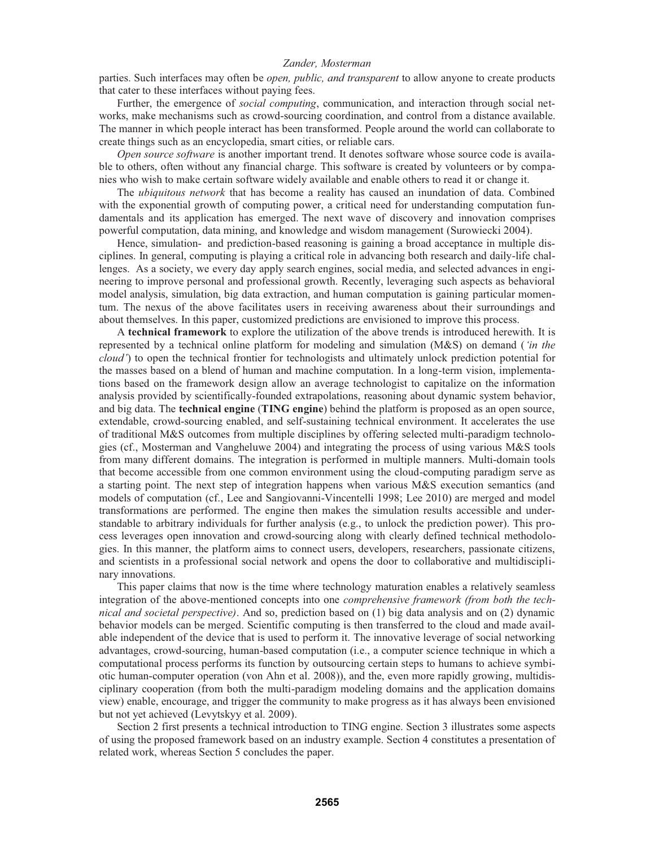parties. Such interfaces may often be *open, public, and transparent* to allow anyone to create products that cater to these interfaces without paying fees.

 Further, the emergence of *social computing*, communication, and interaction through social networks, make mechanisms such as crowd-sourcing coordination, and control from a distance available. The manner in which people interact has been transformed. People around the world can collaborate to create things such as an encyclopedia, smart cities, or reliable cars.

 *Open source software* is another important trend. It denotes software whose source code is available to others, often without any financial charge. This software is created by volunteers or by companies who wish to make certain software widely available and enable others to read it or change it.

 The *ubiquitous network* that has become a reality has caused an inundation of data. Combined with the exponential growth of computing power, a critical need for understanding computation fundamentals and its application has emerged. The next wave of discovery and innovation comprises powerful computation, data mining, and knowledge and wisdom management (Surowiecki 2004).

 Hence, simulation- and prediction-based reasoning is gaining a broad acceptance in multiple disciplines. In general, computing is playing a critical role in advancing both research and daily-life challenges. As a society, we every day apply search engines, social media, and selected advances in engineering to improve personal and professional growth. Recently, leveraging such aspects as behavioral model analysis, simulation, big data extraction, and human computation is gaining particular momentum. The nexus of the above facilitates users in receiving awareness about their surroundings and about themselves. In this paper, customized predictions are envisioned to improve this process.

 A **technical framework** to explore the utilization of the above trends is introduced herewith. It is represented by a technical online platform for modeling and simulation (M&S) on demand (*'in the cloud'*) to open the technical frontier for technologists and ultimately unlock prediction potential for the masses based on a blend of human and machine computation. In a long-term vision, implementations based on the framework design allow an average technologist to capitalize on the information analysis provided by scientifically-founded extrapolations, reasoning about dynamic system behavior, and big data. The **technical engine** (**TING engine**) behind the platform is proposed as an open source, extendable, crowd-sourcing enabled, and self-sustaining technical environment. It accelerates the use of traditional M&S outcomes from multiple disciplines by offering selected multi-paradigm technologies (cf., Mosterman and Vangheluwe 2004) and integrating the process of using various M&S tools from many different domains. The integration is performed in multiple manners. Multi-domain tools that become accessible from one common environment using the cloud-computing paradigm serve as a starting point. The next step of integration happens when various M&S execution semantics (and models of computation (cf., Lee and Sangiovanni-Vincentelli 1998; Lee 2010) are merged and model transformations are performed. The engine then makes the simulation results accessible and understandable to arbitrary individuals for further analysis (e.g., to unlock the prediction power). This process leverages open innovation and crowd-sourcing along with clearly defined technical methodologies. In this manner, the platform aims to connect users, developers, researchers, passionate citizens, and scientists in a professional social network and opens the door to collaborative and multidisciplinary innovations.

 This paper claims that now is the time where technology maturation enables a relatively seamless integration of the above-mentioned concepts into one *comprehensive framework (from both the technical and societal perspective)*. And so, prediction based on (1) big data analysis and on (2) dynamic behavior models can be merged. Scientific computing is then transferred to the cloud and made available independent of the device that is used to perform it. The innovative leverage of social networking advantages, crowd-sourcing, human-based computation (i.e., a computer science technique in which a computational process performs its function by outsourcing certain steps to humans to achieve symbiotic human-computer operation (von Ahn et al. 2008)), and the, even more rapidly growing, multidisciplinary cooperation (from both the multi-paradigm modeling domains and the application domains view) enable, encourage, and trigger the community to make progress as it has always been envisioned but not yet achieved (Levytskyy et al. 2009).

Section 2 first presents a technical introduction to TING engine. Section 3 illustrates some aspects of using the proposed framework based on an industry example. Section 4 constitutes a presentation of related work, whereas Section 5 concludes the paper.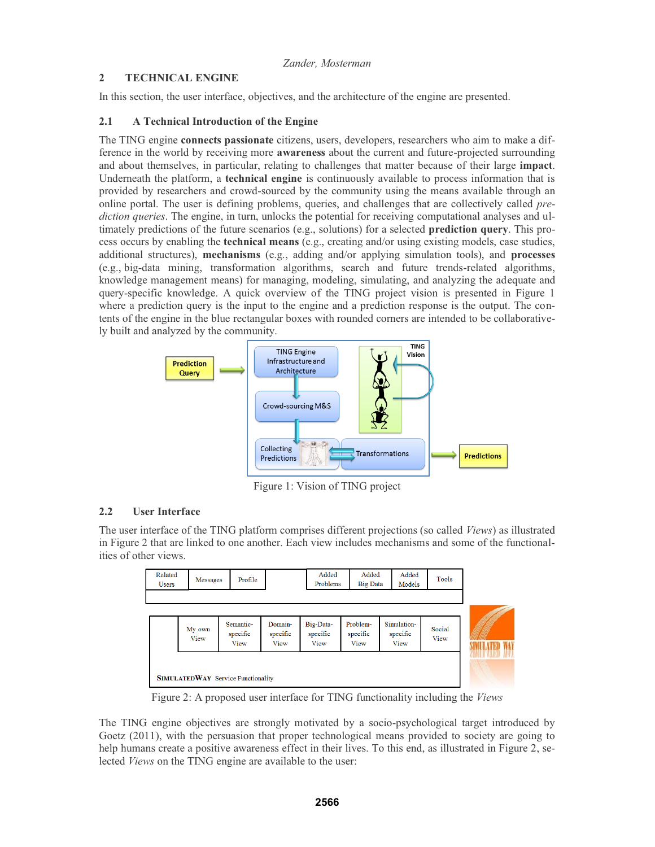## **2 TECHNICAL ENGINE**

In this section, the user interface, objectives, and the architecture of the engine are presented.

## **2.1 A Technical Introduction of the Engine**

The TING engine **connects passionate** citizens, users, developers, researchers who aim to make a difference in the world by receiving more **awareness** about the current and future-projected surrounding and about themselves, in particular, relating to challenges that matter because of their large **impact**. Underneath the platform, a **technical engine** is continuously available to process information that is provided by researchers and crowd-sourced by the community using the means available through an online portal. The user is defining problems, queries, and challenges that are collectively called *prediction queries*. The engine, in turn, unlocks the potential for receiving computational analyses and ultimately predictions of the future scenarios (e.g., solutions) for a selected **prediction query**. This process occurs by enabling the **technical means** (e.g., creating and/or using existing models, case studies, additional structures), **mechanisms** (e.g., adding and/or applying simulation tools), and **processes** (e.g., big-data mining, transformation algorithms, search and future trends-related algorithms, knowledge management means) for managing, modeling, simulating, and analyzing the adequate and query-specific knowledge. A quick overview of the TING project vision is presented in Figure 1 where a prediction query is the input to the engine and a prediction response is the output. The contents of the engine in the blue rectangular boxes with rounded corners are intended to be collaboratively built and analyzed by the community.



Figure 1: Vision of TING project

## **2.2 User Interface**

The user interface of the TING platform comprises different projections (so called *Views*) as illustrated in Figure 2 that are linked to one another. Each view includes mechanisms and some of the functionalities of other views.



Figure 2: A proposed user interface for TING functionality including the *Views* 

The TING engine objectives are strongly motivated by a socio-psychological target introduced by Goetz (2011), with the persuasion that proper technological means provided to society are going to help humans create a positive awareness effect in their lives. To this end, as illustrated in Figure 2, selected *Views* on the TING engine are available to the user: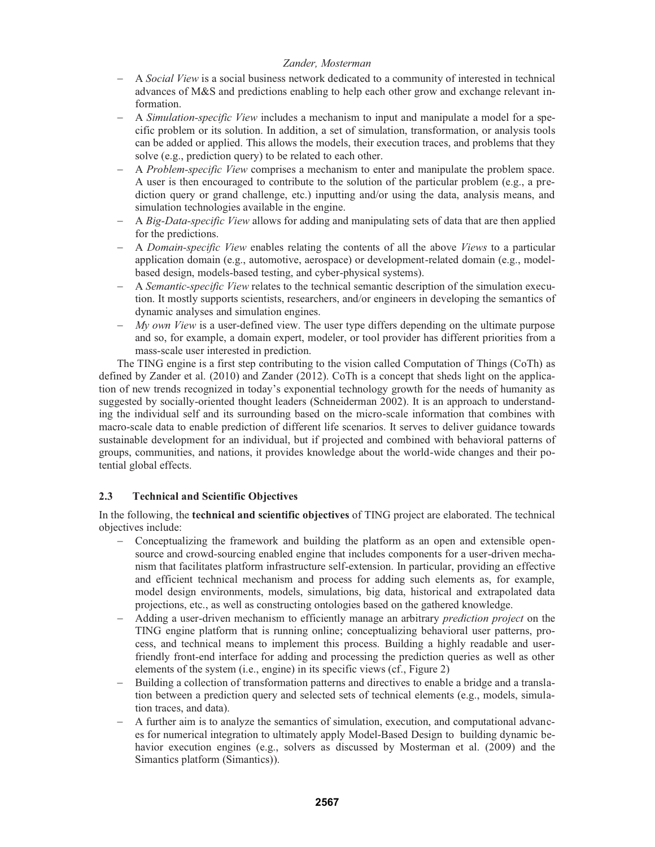- - A *Social View* is a social business network dedicated to a community of interested in technical advances of M&S and predictions enabling to help each other grow and exchange relevant information.
- A *Simulation-specific View* includes a mechanism to input and manipulate a model for a specific problem or its solution. In addition, a set of simulation, transformation, or analysis tools can be added or applied. This allows the models, their execution traces, and problems that they solve (e.g., prediction query) to be related to each other.
- - A *Problem-specific View* comprises a mechanism to enter and manipulate the problem space. A user is then encouraged to contribute to the solution of the particular problem (e.g., a prediction query or grand challenge, etc.) inputting and/or using the data, analysis means, and simulation technologies available in the engine.
- - A *Big-Data-specific View* allows for adding and manipulating sets of data that are then applied for the predictions.
- - A *Domain-specific View* enables relating the contents of all the above *Views* to a particular application domain (e.g., automotive, aerospace) or development-related domain (e.g., modelbased design, models-based testing, and cyber-physical systems).
- A *Semantic-specific View* relates to the technical semantic description of the simulation execution. It mostly supports scientists, researchers, and/or engineers in developing the semantics of dynamic analyses and simulation engines.
- *My own View* is a user-defined view. The user type differs depending on the ultimate purpose and so, for example, a domain expert, modeler, or tool provider has different priorities from a mass-scale user interested in prediction.

 The TING engine is a first step contributing to the vision called Computation of Things (CoTh) as defined by Zander et al. (2010) and Zander (2012). CoTh is a concept that sheds light on the application of new trends recognized in today's exponential technology growth for the needs of humanity as suggested by socially-oriented thought leaders (Schneiderman 2002). It is an approach to understanding the individual self and its surrounding based on the micro-scale information that combines with macro-scale data to enable prediction of different life scenarios. It serves to deliver guidance towards sustainable development for an individual, but if projected and combined with behavioral patterns of groups, communities, and nations, it provides knowledge about the world-wide changes and their potential global effects.

#### **2.3 Technical and Scientific Objectives**

In the following, the **technical and scientific objectives** of TING project are elaborated. The technical objectives include:

- - Conceptualizing the framework and building the platform as an open and extensible opensource and crowd-sourcing enabled engine that includes components for a user-driven mechanism that facilitates platform infrastructure self-extension. In particular, providing an effective and efficient technical mechanism and process for adding such elements as, for example, model design environments, models, simulations, big data, historical and extrapolated data projections, etc., as well as constructing ontologies based on the gathered knowledge.
- - Adding a user-driven mechanism to efficiently manage an arbitrary *prediction project* on the TING engine platform that is running online; conceptualizing behavioral user patterns, process, and technical means to implement this process. Building a highly readable and userfriendly front-end interface for adding and processing the prediction queries as well as other elements of the system (i.e., engine) in its specific views (cf., Figure 2)
- - Building a collection of transformation patterns and directives to enable a bridge and a translation between a prediction query and selected sets of technical elements (e.g., models, simulation traces, and data).
- - A further aim is to analyze the semantics of simulation, execution, and computational advances for numerical integration to ultimately apply Model-Based Design to building dynamic behavior execution engines (e.g., solvers as discussed by Mosterman et al. (2009) and the Simantics platform (Simantics)).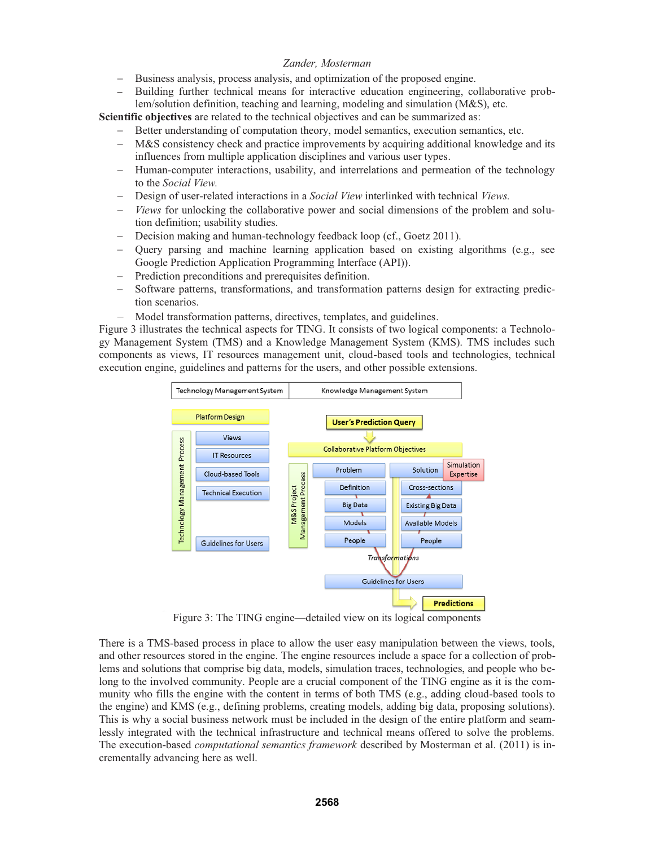- -Business analysis, process analysis, and optimization of the proposed engine.
- - Building further technical means for interactive education engineering, collaborative problem/solution definition, teaching and learning, modeling and simulation (M&S), etc.

**Scientific objectives** are related to the technical objectives and can be summarized as:

- -Better understanding of computation theory, model semantics, execution semantics, etc.
- - M&S consistency check and practice improvements by acquiring additional knowledge and its influences from multiple application disciplines and various user types.
- - Human-computer interactions, usability, and interrelations and permeation of the technology to the *Social View.*
- -Design of user-related interactions in a *Social View* interlinked with technical *Views.*
- - *Views* for unlocking the collaborative power and social dimensions of the problem and solution definition; usability studies.
- -Decision making and human-technology feedback loop (cf., Goetz 2011).
- - Query parsing and machine learning application based on existing algorithms (e.g., see Google Prediction Application Programming Interface (API)).
- -Prediction preconditions and prerequisites definition.
- - Software patterns, transformations, and transformation patterns design for extracting prediction scenarios.
- -Model transformation patterns, directives, templates, and guidelines.

Figure 3 illustrates the technical aspects for TING. It consists of two logical components: a Technology Management System (TMS) and a Knowledge Management System (KMS). TMS includes such components as views, IT resources management unit, cloud-based tools and technologies, technical execution engine, guidelines and patterns for the users, and other possible extensions.



Figure 3: The TING engine—detailed view on its logical components

There is a TMS-based process in place to allow the user easy manipulation between the views, tools, and other resources stored in the engine. The engine resources include a space for a collection of problems and solutions that comprise big data, models, simulation traces, technologies, and people who belong to the involved community. People are a crucial component of the TING engine as it is the community who fills the engine with the content in terms of both TMS (e.g., adding cloud-based tools to the engine) and KMS (e.g., defining problems, creating models, adding big data, proposing solutions). This is why a social business network must be included in the design of the entire platform and seamlessly integrated with the technical infrastructure and technical means offered to solve the problems. The execution-based *computational semantics framework* described by Mosterman et al. (2011) is incrementally advancing here as well.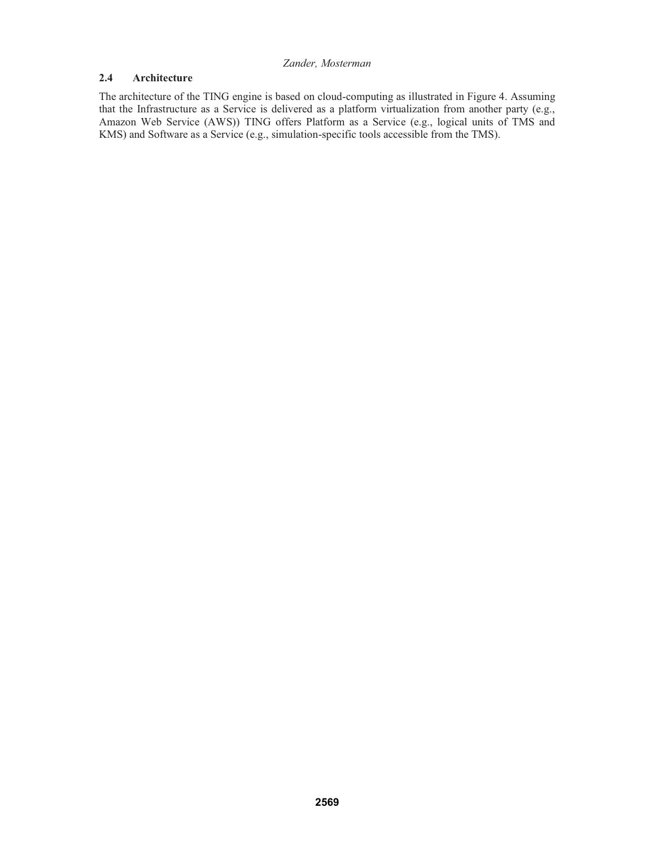# **2.4 Architecture**

The architecture of the TING engine is based on cloud-computing as illustrated in Figure 4. Assuming that the Infrastructure as a Service is delivered as a platform virtualization from another party (e.g., Amazon Web Service (AWS)) TING offers Platform as a Service (e.g., logical units of TMS and KMS) and Software as a Service (e.g., simulation-specific tools accessible from the TMS).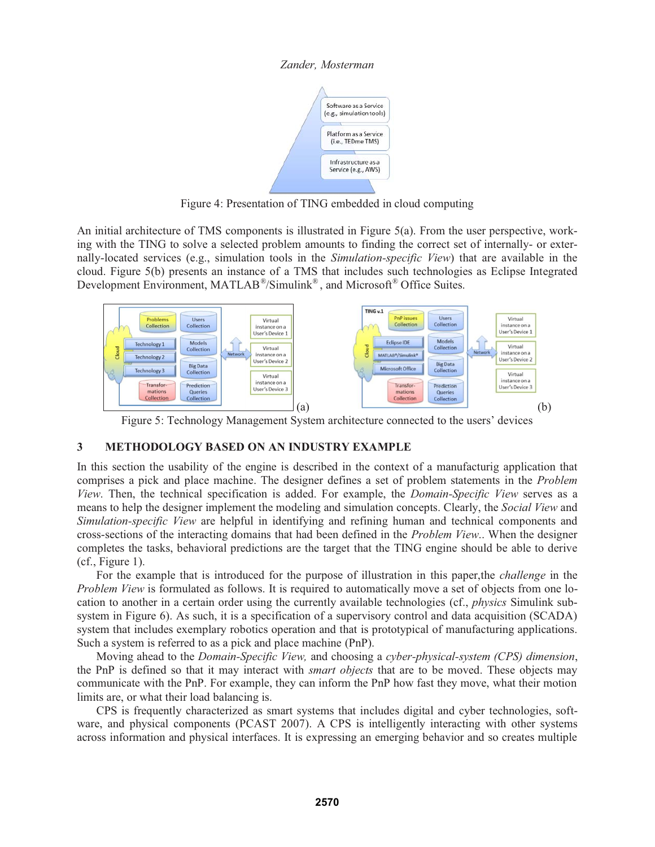

Figure 4: Presentation of TING embedded in cloud computing

An initial architecture of TMS components is illustrated in Figure 5(a). From the user perspective, working with the TING to solve a selected problem amounts to finding the correct set of internally- or externally-located services (e.g., simulation tools in the *Simulation-specific View*) that are available in the cloud. Figure 5(b) presents an instance of a TMS that includes such technologies as Eclipse Integrated Development Environment, MATLAB*®*/Simulink*®* , and Microsoft*®* Office Suites.



Figure 5: Technology Management System architecture connected to the users' devices

# **3 METHODOLOGY BASED ON AN INDUSTRY EXAMPLE**

In this section the usability of the engine is described in the context of a manufacturig application that comprises a pick and place machine. The designer defines a set of problem statements in the *Problem View*. Then, the technical specification is added. For example, the *Domain-Specific View* serves as a means to help the designer implement the modeling and simulation concepts. Clearly, the *Social View* and *Simulation-specific View* are helpful in identifying and refining human and technical components and cross-sections of the interacting domains that had been defined in the *Problem View*.. When the designer completes the tasks, behavioral predictions are the target that the TING engine should be able to derive  $(cf., Figure 1).$ 

 For the example that is introduced for the purpose of illustration in this paper,the *challenge* in the *Problem View* is formulated as follows. It is required to automatically move a set of objects from one location to another in a certain order using the currently available technologies (cf., *physics* Simulink subsystem in Figure 6). As such, it is a specification of a supervisory control and data acquisition (SCADA) system that includes exemplary robotics operation and that is prototypical of manufacturing applications. Such a system is referred to as a pick and place machine (PnP).

 Moving ahead to the *Domain-Specific View,* and choosing a *cyber-physical-system (CPS) dimension*, the PnP is defined so that it may interact with *smart objects* that are to be moved. These objects may communicate with the PnP. For example, they can inform the PnP how fast they move, what their motion limits are, or what their load balancing is.

CPS is frequently characterized as smart systems that includes digital and cyber technologies, software, and physical components (PCAST 2007). A CPS is intelligently interacting with other systems across information and physical interfaces. It is expressing an emerging behavior and so creates multiple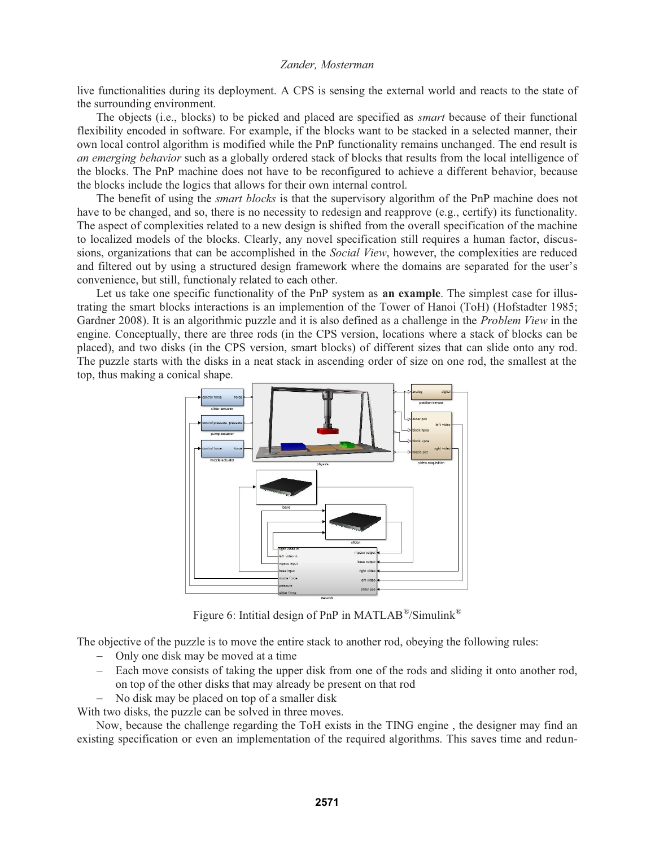live functionalities during its deployment. A CPS is sensing the external world and reacts to the state of the surrounding environment.

 The objects (i.e., blocks) to be picked and placed are specified as *smart* because of their functional flexibility encoded in software. For example, if the blocks want to be stacked in a selected manner, their own local control algorithm is modified while the PnP functionality remains unchanged. The end result is *an emerging behavior* such as a globally ordered stack of blocks that results from the local intelligence of the blocks. The PnP machine does not have to be reconfigured to achieve a different behavior, because the blocks include the logics that allows for their own internal control.

 The benefit of using the *smart blocks* is that the supervisory algorithm of the PnP machine does not have to be changed, and so, there is no necessity to redesign and reapprove (e.g., certify) its functionality. The aspect of complexities related to a new design is shifted from the overall specification of the machine to localized models of the blocks. Clearly, any novel specification still requires a human factor, discussions, organizations that can be accomplished in the *Social View*, however, the complexities are reduced and filtered out by using a structured design framework where the domains are separated for the user's convenience, but still, functionaly related to each other.

 Let us take one specific functionality of the PnP system as **an example**. The simplest case for illustrating the smart blocks interactions is an implemention of the Tower of Hanoi (ToH) (Hofstadter 1985; Gardner 2008). It is an algorithmic puzzle and it is also defined as a challenge in the *Problem View* in the engine. Conceptually, there are three rods (in the CPS version, locations where a stack of blocks can be placed), and two disks (in the CPS version, smart blocks) of different sizes that can slide onto any rod. The puzzle starts with the disks in a neat stack in ascending order of size on one rod, the smallest at the top, thus making a conical shape.



Figure 6: Intitial design of PnP in MATLAB*®*/Simulink*®*

The objective of the puzzle is to move the entire stack to another rod, obeying the following rules:

- Only one disk may be moved at a time
- Each move consists of taking the upper disk from one of the rods and sliding it onto another rod, on top of the other disks that may already be present on that rod
- -No disk may be placed on top of a smaller disk

With two disks, the puzzle can be solved in three moves.

 Now, because the challenge regarding the ToH exists in the TING engine , the designer may find an existing specification or even an implementation of the required algorithms. This saves time and redun-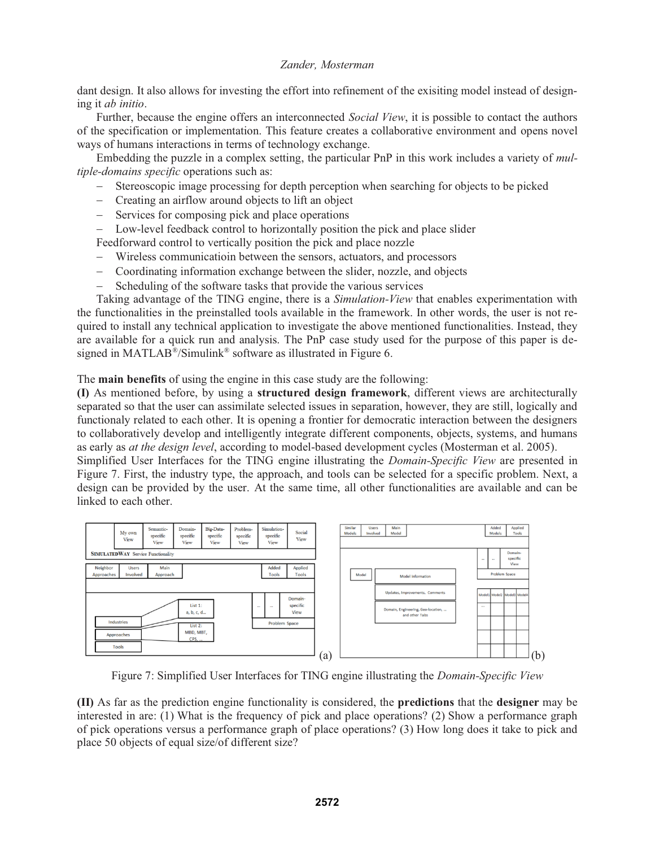dant design. It also allows for investing the effort into refinement of the exisiting model instead of designing it *ab initio*.

 Further, because the engine offers an interconnected *Social View*, it is possible to contact the authors of the specification or implementation. This feature creates a collaborative environment and opens novel ways of humans interactions in terms of technology exchange.

 Embedding the puzzle in a complex setting, the particular PnP in this work includes a variety of *multiple-domains specific* operations such as:

- Stereoscopic image processing for depth perception when searching for objects to be picked
- Creating an airflow around objects to lift an object
- Services for composing pick and place operations
- Low-level feedback control to horizontally position the pick and place slider

Feedforward control to vertically position the pick and place nozzle

- Wireless communicatioin between the sensors, actuators, and processors
- Coordinating information exchange between the slider, nozzle, and objects
- -Scheduling of the software tasks that provide the various services

 Taking advantage of the TING engine, there is a *Simulation-View* that enables experimentation with the functionalities in the preinstalled tools available in the framework. In other words, the user is not required to install any technical application to investigate the above mentioned functionalities. Instead, they are available for a quick run and analysis. The PnP case study used for the purpose of this paper is designed in MATLAB*®*/Simulink*®* software as illustrated in Figure 6.

The **main benefits** of using the engine in this case study are the following:

**(I)** As mentioned before, by using a **structured design framework**, different views are architecturally separated so that the user can assimilate selected issues in separation, however, they are still, logically and functionaly related to each other. It is opening a frontier for democratic interaction between the designers to collaboratively develop and intelligently integrate different components, objects, systems, and humans as early as *at the design level*, according to model-based development cycles (Mosterman et al. 2005).

Simplified User Interfaces for the TING engine illustrating the *Domain-Specific View* are presented in Figure 7. First, the industry type, the approach, and tools can be selected for a specific problem. Next, a design can be provided by the user. At the same time, all other functionalities are available and can be linked to each other.



Figure 7: Simplified User Interfaces for TING engine illustrating the *Domain-Specific View*

**(II)** As far as the prediction engine functionality is considered, the **predictions** that the **designer** may be interested in are: (1) What is the frequency of pick and place operations? (2) Show a performance graph of pick operations versus a performance graph of place operations? (3) How long does it take to pick and place 50 objects of equal size/of different size?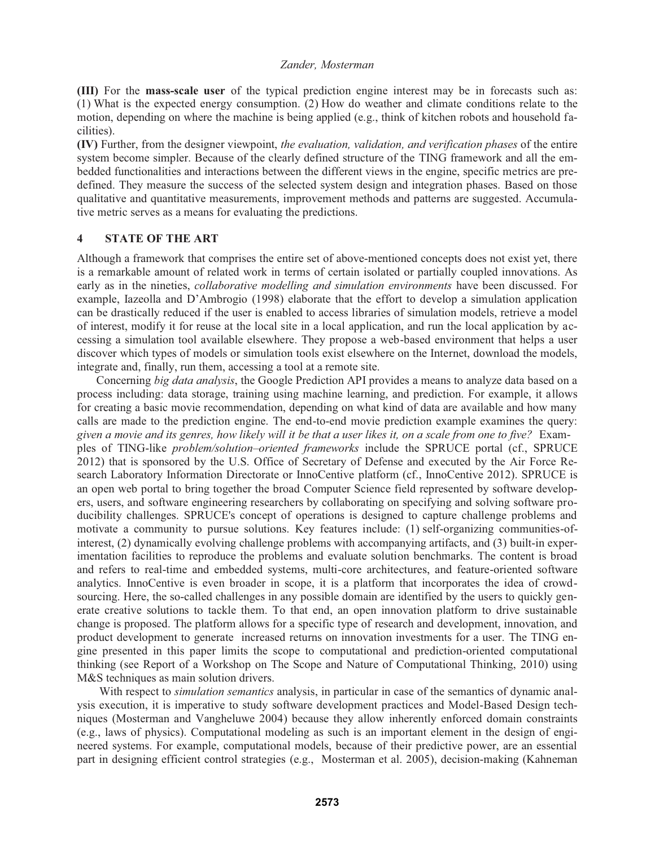**(III)** For the **mass-scale user** of the typical prediction engine interest may be in forecasts such as: (1) What is the expected energy consumption. (2) How do weather and climate conditions relate to the motion, depending on where the machine is being applied (e.g., think of kitchen robots and household facilities).

**(IV)** Further, from the designer viewpoint, *the evaluation, validation, and verification phases* of the entire system become simpler. Because of the clearly defined structure of the TING framework and all the embedded functionalities and interactions between the different views in the engine, specific metrics are predefined. They measure the success of the selected system design and integration phases. Based on those qualitative and quantitative measurements, improvement methods and patterns are suggested. Accumulative metric serves as a means for evaluating the predictions.

## **4 STATE OF THE ART**

Although a framework that comprises the entire set of above-mentioned concepts does not exist yet, there is a remarkable amount of related work in terms of certain isolated or partially coupled innovations. As early as in the nineties, *collaborative modelling and simulation environments* have been discussed. For example, Iazeolla and D'Ambrogio (1998) elaborate that the effort to develop a simulation application can be drastically reduced if the user is enabled to access libraries of simulation models, retrieve a model of interest, modify it for reuse at the local site in a local application, and run the local application by accessing a simulation tool available elsewhere. They propose a web-based environment that helps a user discover which types of models or simulation tools exist elsewhere on the Internet, download the models, integrate and, finally, run them, accessing a tool at a remote site.

 Concerning *big data analysis*, the Google Prediction API provides a means to analyze data based on a process including: data storage, training using machine learning, and prediction. For example, it allows for creating a basic movie recommendation, depending on what kind of data are available and how many calls are made to the prediction engine. The end-to-end movie prediction example examines the query: *given a movie and its genres, how likely will it be that a user likes it, on a scale from one to five?* Examples of TING-like *problem/solution–oriented frameworks* include the SPRUCE portal (cf., SPRUCE 2012) that is sponsored by the U.S. Office of Secretary of Defense and executed by the Air Force Research Laboratory Information Directorate or InnoCentive platform (cf., InnoCentive 2012). SPRUCE is an open web portal to bring together the broad Computer Science field represented by software developers, users, and software engineering researchers by collaborating on specifying and solving software producibility challenges. SPRUCE's concept of operations is designed to capture challenge problems and motivate a community to pursue solutions. Key features include: (1) self-organizing communities-ofinterest, (2) dynamically evolving challenge problems with accompanying artifacts, and (3) built-in experimentation facilities to reproduce the problems and evaluate solution benchmarks. The content is broad and refers to real-time and embedded systems, multi-core architectures, and feature-oriented software analytics. InnoCentive is even broader in scope, it is a platform that incorporates the idea of crowdsourcing. Here, the so-called challenges in any possible domain are identified by the users to quickly generate creative solutions to tackle them. To that end, an open innovation platform to drive sustainable change is proposed. The platform allows for a specific type of research and development, innovation, and product development to generate increased returns on innovation investments for a user. The TING engine presented in this paper limits the scope to computational and prediction-oriented computational thinking (see Report of a Workshop on The Scope and Nature of Computational Thinking, 2010) using M&S techniques as main solution drivers.

 With respect to *simulation semantics* analysis, in particular in case of the semantics of dynamic analysis execution, it is imperative to study software development practices and Model-Based Design techniques (Mosterman and Vangheluwe 2004) because they allow inherently enforced domain constraints (e.g., laws of physics). Computational modeling as such is an important element in the design of engineered systems. For example, computational models, because of their predictive power, are an essential part in designing efficient control strategies (e.g., Mosterman et al. 2005), decision-making (Kahneman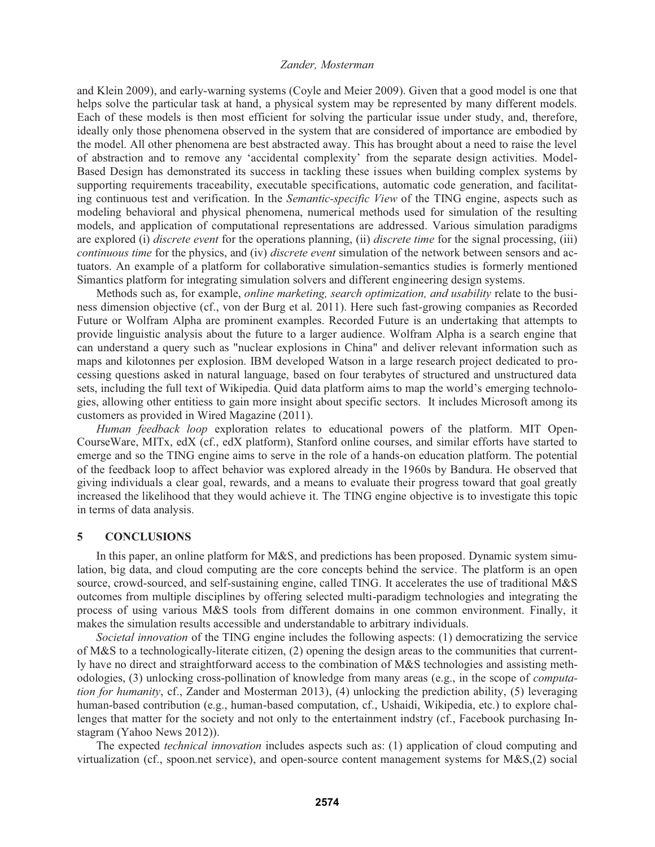and Klein 2009), and early-warning systems (Coyle and Meier 2009). Given that a good model is one that helps solve the particular task at hand, a physical system may be represented by many different models. Each of these models is then most efficient for solving the particular issue under study, and, therefore, ideally only those phenomena observed in the system that are considered of importance are embodied by the model. All other phenomena are best abstracted away. This has brought about a need to raise the level of abstraction and to remove any 'accidental complexity' from the separate design activities. Model-Based Design has demonstrated its success in tackling these issues when building complex systems by supporting requirements traceability, executable specifications, automatic code generation, and facilitating continuous test and verification. In the *Semantic-specific View* of the TING engine, aspects such as modeling behavioral and physical phenomena, numerical methods used for simulation of the resulting models, and application of computational representations are addressed. Various simulation paradigms are explored (i) *discrete event* for the operations planning, (ii) *discrete time* for the signal processing, (iii) *continuous time* for the physics, and (iv) *discrete event* simulation of the network between sensors and actuators. An example of a platform for collaborative simulation-semantics studies is formerly mentioned Simantics platform for integrating simulation solvers and different engineering design systems.

Methods such as, for example, *online marketing, search optimization, and usability* relate to the business dimension objective (cf., von der Burg et al. 2011). Here such fast-growing companies as Recorded Future or Wolfram Alpha are prominent examples. Recorded Future is an undertaking that attempts to provide linguistic analysis about the future to a larger audience. Wolfram Alpha is a search engine that can understand a query such as "nuclear explosions in China" and deliver relevant information such as maps and kilotonnes per explosion. IBM developed Watson in a large research project dedicated to processing questions asked in natural language, based on four terabytes of structured and unstructured data sets, including the full text of Wikipedia. Quid data platform aims to map the world's emerging technologies, allowing other entitiess to gain more insight about specific sectors. It includes Microsoft among its customers as provided in Wired Magazine (2011).

*Human feedback loop* exploration relates to educational powers of the platform. MIT Open-CourseWare, MITx, edX (cf., edX platform), Stanford online courses, and similar efforts have started to emerge and so the TING engine aims to serve in the role of a hands-on education platform. The potential of the feedback loop to affect behavior was explored already in the 1960s by Bandura. He observed that giving individuals a clear goal, rewards, and a means to evaluate their progress toward that goal greatly increased the likelihood that they would achieve it. The TING engine objective is to investigate this topic in terms of data analysis.

#### **5 CONCLUSIONS**

In this paper, an online platform for M&S, and predictions has been proposed. Dynamic system simulation, big data, and cloud computing are the core concepts behind the service. The platform is an open source, crowd-sourced, and self-sustaining engine, called TING. It accelerates the use of traditional M&S outcomes from multiple disciplines by offering selected multi-paradigm technologies and integrating the process of using various M&S tools from different domains in one common environment. Finally, it makes the simulation results accessible and understandable to arbitrary individuals.

*Societal innovation* of the TING engine includes the following aspects: (1) democratizing the service of M&S to a technologically-literate citizen, (2) opening the design areas to the communities that currently have no direct and straightforward access to the combination of M&S technologies and assisting methodologies, (3) unlocking cross-pollination of knowledge from many areas (e.g., in the scope of *computation for humanity*, cf., Zander and Mosterman 2013), (4) unlocking the prediction ability, (5) leveraging human-based contribution (e.g., human-based computation, cf., Ushaidi, Wikipedia, etc.) to explore challenges that matter for the society and not only to the entertainment indstry (cf., Facebook purchasing Instagram (Yahoo News 2012)).

The expected *technical innovation* includes aspects such as: (1) application of cloud computing and virtualization (cf., spoon.net service), and open-source content management systems for M&S,(2) social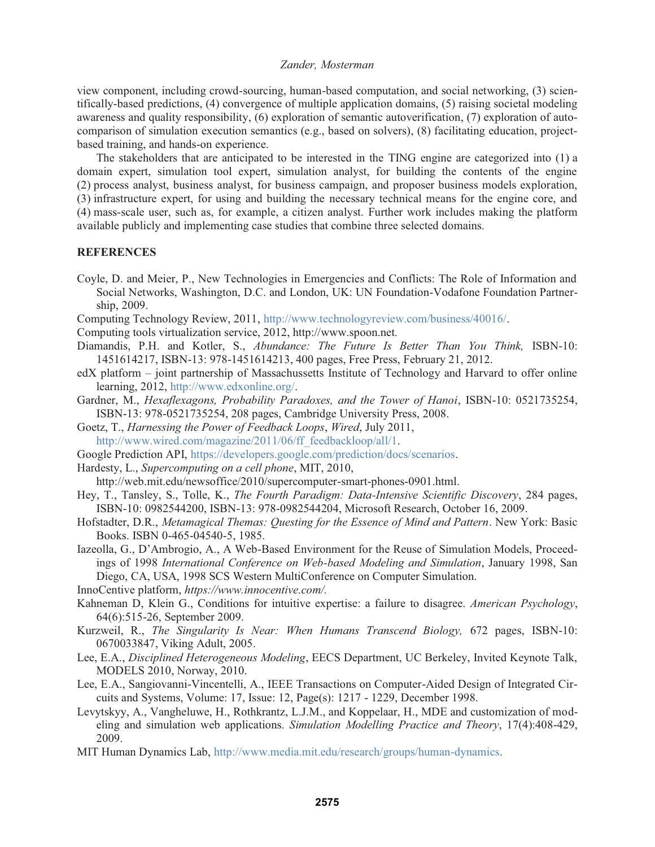view component, including crowd-sourcing, human-based computation, and social networking, (3) scientifically-based predictions, (4) convergence of multiple application domains, (5) raising societal modeling awareness and quality responsibility, (6) exploration of semantic autoverification, (7) exploration of autocomparison of simulation execution semantics (e.g., based on solvers), (8) facilitating education, projectbased training, and hands-on experience.

 The stakeholders that are anticipated to be interested in the TING engine are categorized into (1) a domain expert, simulation tool expert, simulation analyst, for building the contents of the engine (2) process analyst, business analyst, for business campaign, and proposer business models exploration, (3) infrastructure expert, for using and building the necessary technical means for the engine core, and (4) mass-scale user, such as, for example, a citizen analyst. Further work includes making the platform available publicly and implementing case studies that combine three selected domains.

#### **REFERENCES**

- Coyle, D. and Meier, P., New Technologies in Emergencies and Conflicts: The Role of Information and Social Networks, Washington, D.C. and London, UK: UN Foundation-Vodafone Foundation Partnership, 2009.
- Computing Technology Review, 2011, http://www.technologyreview.com/business/40016/.
- Computing tools virtualization service, 2012, http://www.spoon.net.
- Diamandis, P.H. and Kotler, S., *Abundance: The Future Is Better Than You Think,* ISBN-10: 1451614217, ISBN-13: 978-1451614213, 400 pages, Free Press, February 21, 2012.
- edX platform joint partnership of Massachussetts Institute of Technology and Harvard to offer online learning, 2012, http://www.edxonline.org/.
- Gardner, M., *Hexaflexagons, Probability Paradoxes, and the Tower of Hanoi*, ISBN-10: 0521735254, ISBN-13: 978-0521735254, 208 pages, Cambridge University Press, 2008.
- Goetz, T., *Harnessing the Power of Feedback Loops*, *Wired*, July 2011, http://www.wired.com/magazine/2011/06/ff\_feedbackloop/all/1.

Google Prediction API, https://developers.google.com/prediction/docs/scenarios.

Hardesty, L., *Supercomputing on a cell phone*, MIT, 2010,

http://web.mit.edu/newsoffice/2010/supercomputer-smart-phones-0901.html.

- Hey, T., Tansley, S., Tolle, K., *The Fourth Paradigm: Data-Intensive Scientific Discovery*, 284 pages, ISBN-10: 0982544200, ISBN-13: 978-0982544204, Microsoft Research, October 16, 2009.
- Hofstadter, D.R., *Metamagical Themas: Questing for the Essence of Mind and Pattern*. New York: Basic Books. ISBN 0-465-04540-5, 1985.
- Iazeolla, G., D'Ambrogio, A., A Web-Based Environment for the Reuse of Simulation Models, Proceedings of 1998 *International Conference on Web-based Modeling and Simulation*, January 1998, San Diego, CA, USA, 1998 SCS Western MultiConference on Computer Simulation.
- InnoCentive platform, *https://www.innocentive.com/.*
- Kahneman D, Klein G., Conditions for intuitive expertise: a failure to disagree. *American Psychology*, 64(6):515-26, September 2009.
- Kurzweil, R., *The Singularity Is Near: When Humans Transcend Biology,* 672 pages, ISBN-10: 0670033847, Viking Adult, 2005.
- Lee, E.A., *Disciplined Heterogeneous Modeling*, EECS Department, UC Berkeley, Invited Keynote Talk, MODELS 2010, Norway, 2010.
- Lee, E.A., Sangiovanni-Vincentelli, A., IEEE Transactions on Computer-Aided Design of Integrated Circuits and Systems, Volume: 17, Issue: 12, Page(s): 1217 - 1229, December 1998.
- Levytskyy, A., Vangheluwe, H., Rothkrantz, L.J.M., and Koppelaar, H., MDE and customization of modeling and simulation web applications. *Simulation Modelling Practice and Theory*, 17(4):408-429, 2009.
- MIT Human Dynamics Lab, http://www.media.mit.edu/research/groups/human-dynamics.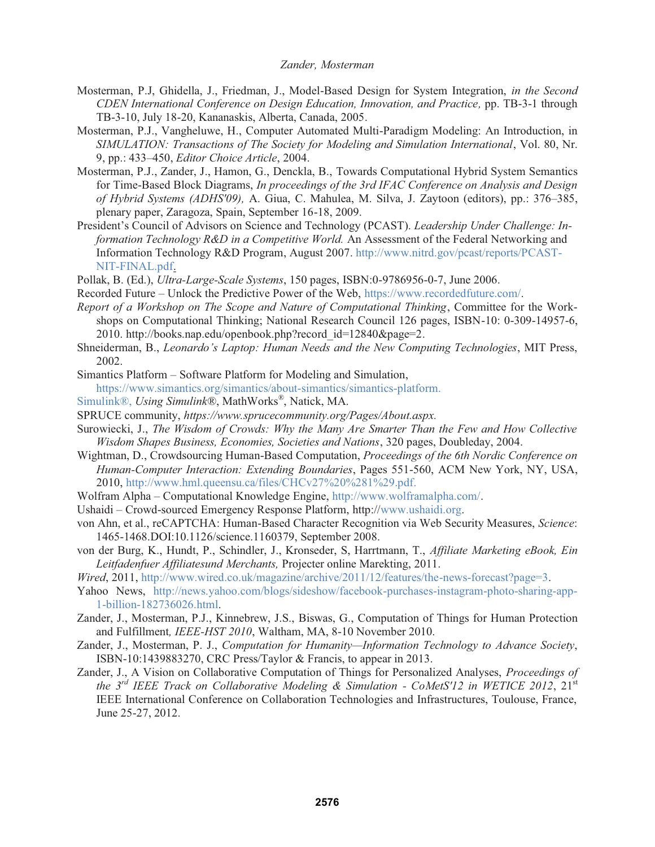- Mosterman, P.J, Ghidella, J., Friedman, J., Model-Based Design for System Integration, *in the Second CDEN International Conference on Design Education, Innovation, and Practice,* pp. TB-3-1 through TB-3-10, July 18-20, Kananaskis, Alberta, Canada, 2005.
- Mosterman, P.J., Vangheluwe, H., Computer Automated Multi-Paradigm Modeling: An Introduction, in *SIMULATION: Transactions of The Society for Modeling and Simulation International*, Vol. 80, Nr. 9, pp.: 433–450, *Editor Choice Article*, 2004.
- Mosterman, P.J., Zander, J., Hamon, G., Denckla, B., Towards Computational Hybrid System Semantics for Time-Based Block Diagrams, *In proceedings of the 3rd IFAC Conference on Analysis and Design of Hybrid Systems (ADHS'09),* A. Giua, C. Mahulea, M. Silva, J. Zaytoon (editors), pp.: 376–385, plenary paper, Zaragoza, Spain, September 16-18, 2009.
- President's Council of Advisors on Science and Technology (PCAST). *Leadership Under Challenge: Information Technology R&D in a Competitive World.* An Assessment of the Federal Networking and Information Technology R&D Program, August 2007. http://www.nitrd.gov/pcast/reports/PCAST-NIT-FINAL.pdf.

Pollak, B. (Ed.), *Ultra-Large-Scale Systems*, 150 pages, ISBN:0-9786956-0-7, June 2006.

- Recorded Future Unlock the Predictive Power of the Web, https://www.recordedfuture.com/.
- *Report of a Workshop on The Scope and Nature of Computational Thinking*, Committee for the Workshops on Computational Thinking; National Research Council 126 pages, ISBN-10: 0-309-14957-6, 2010. http://books.nap.edu/openbook.php?record\_id=12840&page=2.
- Shneiderman, B., *Leonardo's Laptop: Human Needs and the New Computing Technologies*, MIT Press, 2002.
- Simantics Platform Software Platform for Modeling and Simulation,
- https://www.simantics.org/simantics/about-simantics/simantics-platform.
- Simulink®, *Using Simulink®*, MathWorks*®*, Natick, MA.
- SPRUCE community, *https://www.sprucecommunity.org/Pages/About.aspx.*
- Surowiecki, J., *The Wisdom of Crowds: Why the Many Are Smarter Than the Few and How Collective Wisdom Shapes Business, Economies, Societies and Nations*, 320 pages, Doubleday, 2004.
- Wightman, D., Crowdsourcing Human-Based Computation, *Proceedings of the 6th Nordic Conference on Human-Computer Interaction: Extending Boundaries*, Pages 551-560, ACM New York, NY, USA, 2010, http://www.hml.queensu.ca/files/CHCv27%20%281%29.pdf.
- Wolfram Alpha Computational Knowledge Engine, http://www.wolframalpha.com/.
- Ushaidi Crowd-sourced Emergency Response Platform, http://www.ushaidi.org.
- von Ahn, et al., reCAPTCHA: Human-Based Character Recognition via Web Security Measures, *Science*: 1465-1468.DOI:10.1126/science.1160379, September 2008.
- von der Burg, K., Hundt, P., Schindler, J., Kronseder, S, Harrtmann, T., *Affiliate Marketing eBook, Ein Leitfadenfuer Affiliatesund Merchants,* Projecter online Marekting, 2011.
- *Wired*, 2011, http://www.wired.co.uk/magazine/archive/2011/12/features/the-news-forecast?page=3.
- Yahoo News, http://news.yahoo.com/blogs/sideshow/facebook-purchases-instagram-photo-sharing-app-1-billion-182736026.html.
- Zander, J., Mosterman, P.J., Kinnebrew, J.S., Biswas, G., Computation of Things for Human Protection and Fulfillment*, IEEE-HST 2010*, Waltham, MA, 8-10 November 2010.
- Zander, J., Mosterman, P. J., *Computation for Humanity—Information Technology to Advance Society*, ISBN-10:1439883270, CRC Press/Taylor & Francis, to appear in 2013.
- Zander, J., A Vision on Collaborative Computation of Things for Personalized Analyses, *Proceedings of the 3rd IEEE Track on Collaborative Modeling & Simulation - CoMetS'12 in WETICE 2012*, 21st IEEE International Conference on Collaboration Technologies and Infrastructures, Toulouse, France, June 25-27, 2012.